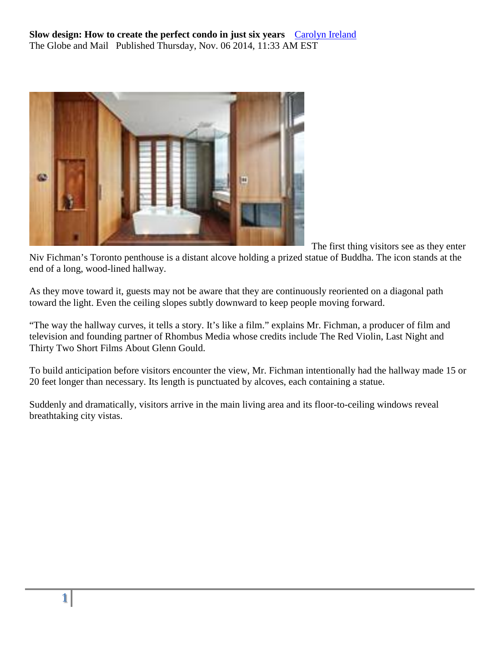

The first thing visitors see as they enter

Niv Fichman's Toronto penthouse is a distant alcove holding a prized statue of Buddha. The icon stands at the end of a long, wood-lined hallway.

As they move toward it, guests may not be aware that they are continuously reoriented on a diagonal path toward the light. Even the ceiling slopes subtly downward to keep people moving forward.

"The way the hallway curves, it tells a story. It's like a film." explains Mr. Fichman, a producer of film and television and founding partner of Rhombus Media whose credits include The Red Violin, Last Night and Thirty Two Short Films About Glenn Gould.

To build anticipation before visitors encounter the view, Mr. Fichman intentionally had the hallway made 15 or 20 feet longer than necessary. Its length is punctuated by alcoves, each containing a statue.

Suddenly and dramatically, visitors arrive in the main living area and its floor-to-ceiling windows reveal breathtaking city vistas.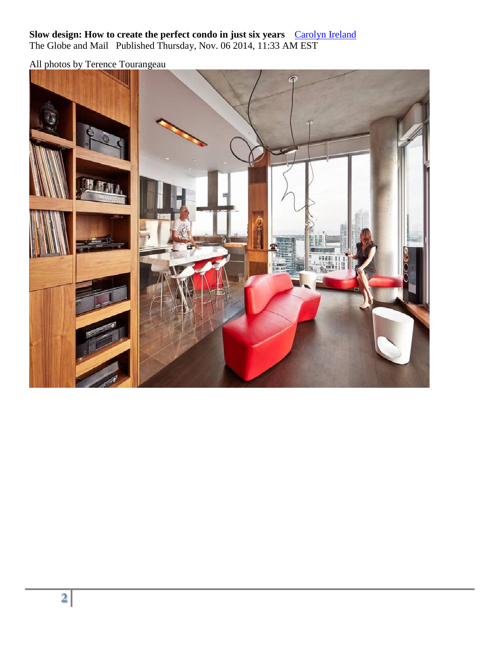All photos by Terence Tourangeau

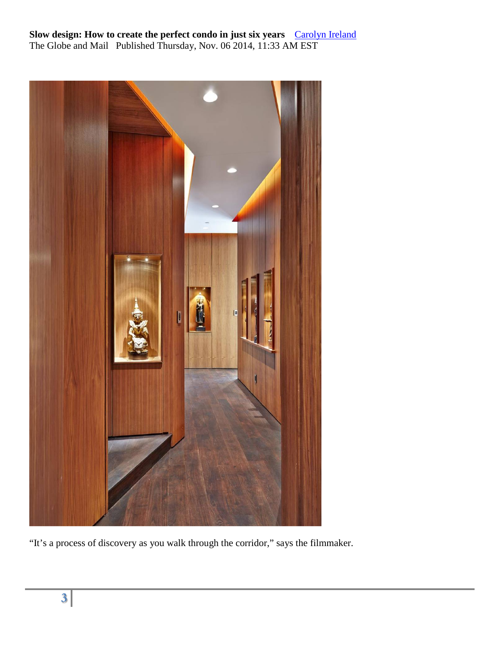

"It's a process of discovery as you walk through the corridor," says the filmmaker.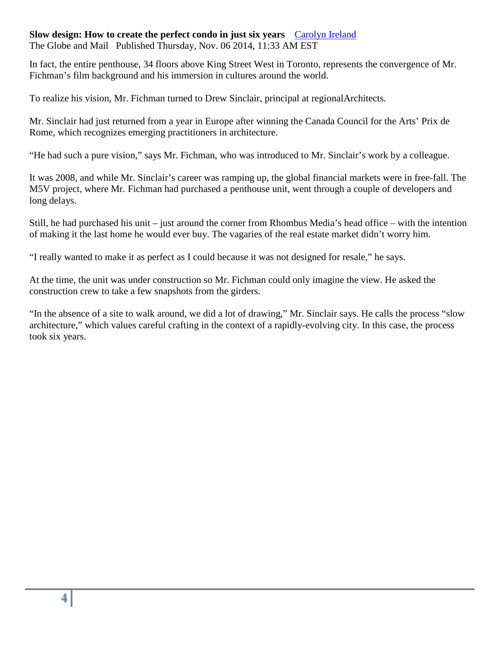### **Slow design: How to create the perfect condo in just six years** [Carolyn Ireland](http://www.theglobeandmail.com/authors/carolyn-ireland)

The Globe and Mail Published Thursday, Nov. 06 2014, 11:33 AM EST

In fact, the entire penthouse, 34 floors above King Street West in Toronto, represents the convergence of Mr. Fichman's film background and his immersion in cultures around the world.

To realize his vision, Mr. Fichman turned to Drew Sinclair, principal at regionalArchitects.

Mr. Sinclair had just returned from a year in Europe after winning the Canada Council for the Arts' Prix de Rome, which recognizes emerging practitioners in architecture.

"He had such a pure vision," says Mr. Fichman, who was introduced to Mr. Sinclair's work by a colleague.

It was 2008, and while Mr. Sinclair's career was ramping up, the global financial markets were in free-fall. The M5V project, where Mr. Fichman had purchased a penthouse unit, went through a couple of developers and long delays.

Still, he had purchased his unit – just around the corner from Rhombus Media's head office – with the intention of making it the last home he would ever buy. The vagaries of the real estate market didn't worry him.

"I really wanted to make it as perfect as I could because it was not designed for resale," he says.

At the time, the unit was under construction so Mr. Fichman could only imagine the view. He asked the construction crew to take a few snapshots from the girders.

"In the absence of a site to walk around, we did a lot of drawing," Mr. Sinclair says. He calls the process "slow architecture," which values careful crafting in the context of a rapidly-evolving city. In this case, the process took six years.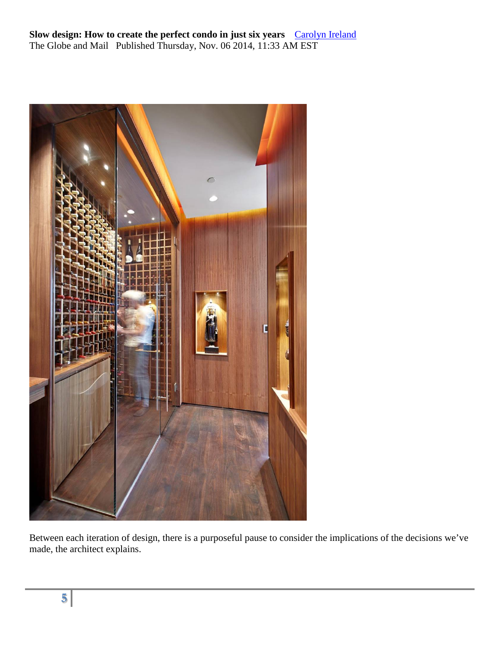

Between each iteration of design, there is a purposeful pause to consider the implications of the decisions we've made, the architect explains.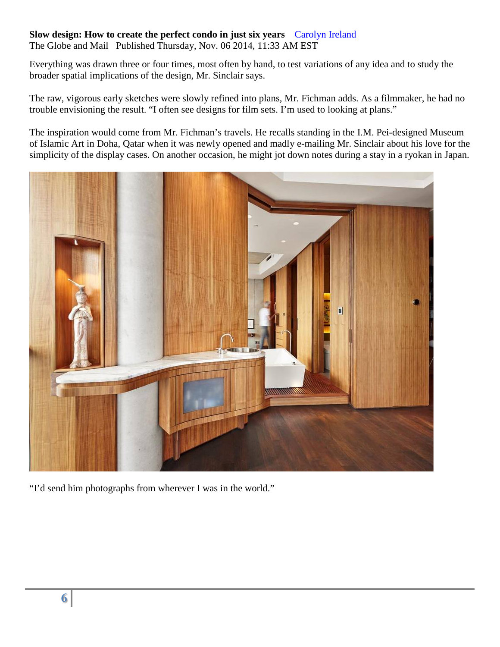## **Slow design: How to create the perfect condo in just six years** [Carolyn Ireland](http://www.theglobeandmail.com/authors/carolyn-ireland)

The Globe and Mail Published Thursday, Nov. 06 2014, 11:33 AM EST

Everything was drawn three or four times, most often by hand, to test variations of any idea and to study the broader spatial implications of the design, Mr. Sinclair says.

The raw, vigorous early sketches were slowly refined into plans, Mr. Fichman adds. As a filmmaker, he had no trouble envisioning the result. "I often see designs for film sets. I'm used to looking at plans."

The inspiration would come from Mr. Fichman's travels. He recalls standing in the I.M. Pei-designed Museum of Islamic Art in Doha, Qatar when it was newly opened and madly e-mailing Mr. Sinclair about his love for the simplicity of the display cases. On another occasion, he might jot down notes during a stay in a ryokan in Japan.



"I'd send him photographs from wherever I was in the world."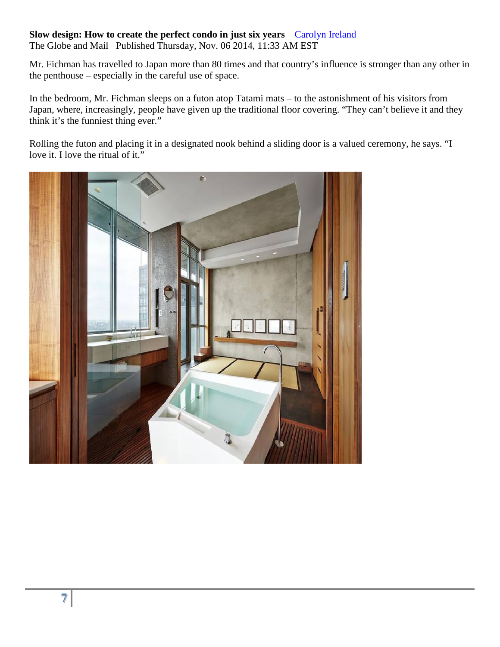# **Slow design: How to create the perfect condo in just six years** [Carolyn Ireland](http://www.theglobeandmail.com/authors/carolyn-ireland)

The Globe and Mail Published Thursday, Nov. 06 2014, 11:33 AM EST

Mr. Fichman has travelled to Japan more than 80 times and that country's influence is stronger than any other in the penthouse – especially in the careful use of space.

In the bedroom, Mr. Fichman sleeps on a futon atop Tatami mats – to the astonishment of his visitors from Japan, where, increasingly, people have given up the traditional floor covering. "They can't believe it and they think it's the funniest thing ever."

Rolling the futon and placing it in a designated nook behind a sliding door is a valued ceremony, he says. "I love it. I love the ritual of it."

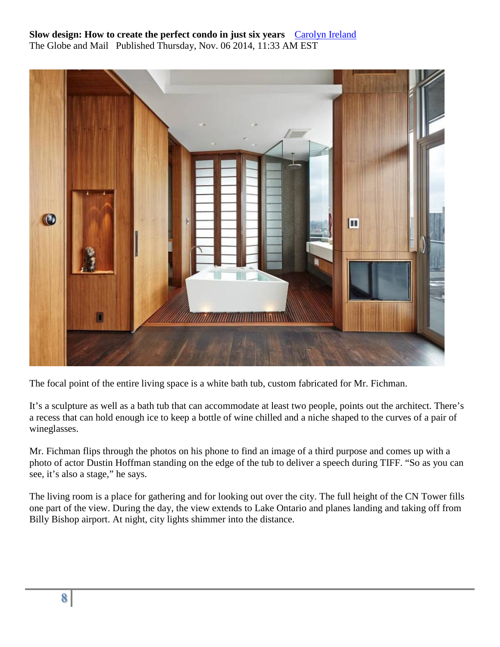

The focal point of the entire living space is a white bath tub, custom fabricated for Mr. Fichman.

It's a sculpture as well as a bath tub that can accommodate at least two people, points out the architect. There's a recess that can hold enough ice to keep a bottle of wine chilled and a niche shaped to the curves of a pair of wineglasses.

Mr. Fichman flips through the photos on his phone to find an image of a third purpose and comes up with a photo of actor Dustin Hoffman standing on the edge of the tub to deliver a speech during TIFF. "So as you can see, it's also a stage," he says.

The living room is a place for gathering and for looking out over the city. The full height of the CN Tower fills one part of the view. During the day, the view extends to Lake Ontario and planes landing and taking off from Billy Bishop airport. At night, city lights shimmer into the distance.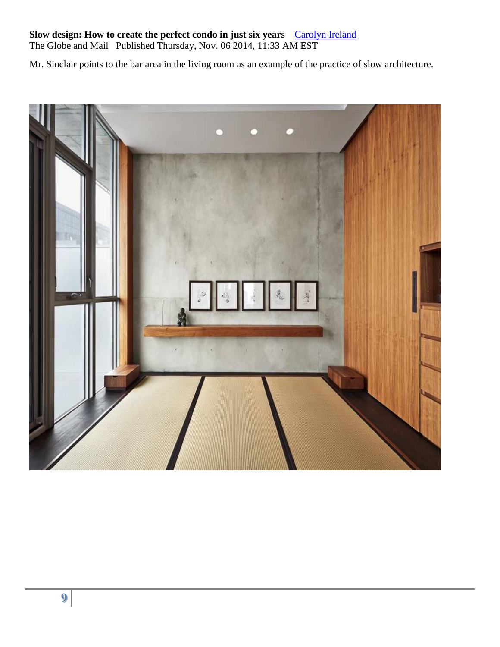#### **Slow design: How to create the perfect condo in just six years** [Carolyn Ireland](http://www.theglobeandmail.com/authors/carolyn-ireland)

The Globe and Mail Published Thursday, Nov. 06 2014, 11:33 AM EST

Mr. Sinclair points to the bar area in the living room as an example of the practice of slow architecture.

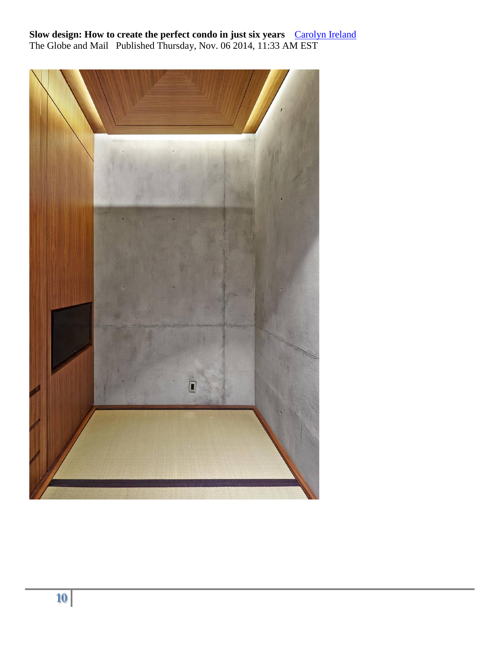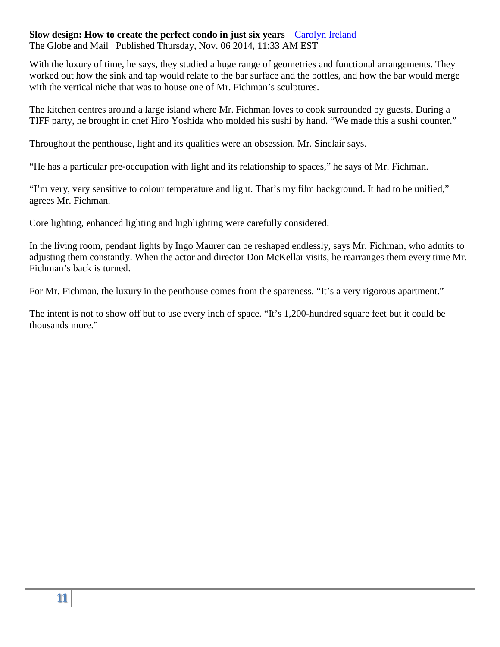With the luxury of time, he says, they studied a huge range of geometries and functional arrangements. They worked out how the sink and tap would relate to the bar surface and the bottles, and how the bar would merge with the vertical niche that was to house one of Mr. Fichman's sculptures.

The kitchen centres around a large island where Mr. Fichman loves to cook surrounded by guests. During a TIFF party, he brought in chef Hiro Yoshida who molded his sushi by hand. "We made this a sushi counter."

Throughout the penthouse, light and its qualities were an obsession, Mr. Sinclair says.

"He has a particular pre-occupation with light and its relationship to spaces," he says of Mr. Fichman.

"I'm very, very sensitive to colour temperature and light. That's my film background. It had to be unified," agrees Mr. Fichman.

Core lighting, enhanced lighting and highlighting were carefully considered.

In the living room, pendant lights by Ingo Maurer can be reshaped endlessly, says Mr. Fichman, who admits to adjusting them constantly. When the actor and director Don McKellar visits, he rearranges them every time Mr. Fichman's back is turned.

For Mr. Fichman, the luxury in the penthouse comes from the spareness. "It's a very rigorous apartment."

The intent is not to show off but to use every inch of space. "It's 1,200-hundred square feet but it could be thousands more."